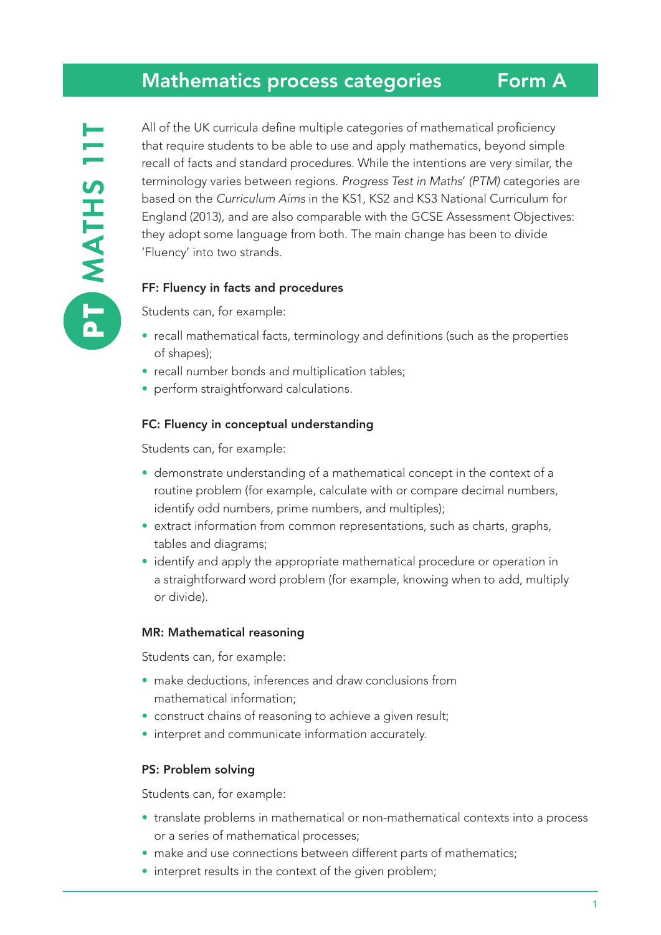## Mathematics process categories

All of the UK curricula define multiple categories of mathematical proficiency that require students to be able to use and apply mathematics, beyond simple recall of facts and standard procedures. While the intentions are very similar, the terminology varies between regions. *Progress Test in Maths*' *(PTM)* categories are based on the *Curriculum Aims* in the KS1, KS2 and KS3 National Curriculum for England (2013), and are also comparable with the GCSE Assessment Objectives: they adopt some language from both. The main change has been to divide 'Fluency' into two strands.

## FF: Fluency in facts and procedures

Students can, for example:

- recall mathematical facts, terminology and definitions (such as the properties of shapes);
- recall number bonds and multiplication tables;
- perform straightforward calculations.

#### FC: Fluency in conceptual understanding

Students can, for example:

- demonstrate understanding of a mathematical concept in the context of a routine problem (for example, calculate with or compare decimal numbers, identify odd numbers, prime numbers, and multiples);
- extract information from common representations, such as charts, graphs, tables and diagrams;
- identify and apply the appropriate mathematical procedure or operation in a straightforward word problem (for example, knowing when to add, multiply or divide).

#### MR: Mathematical reasoning

Students can, for example:

- make deductions, inferences and draw conclusions from mathematical information;
- construct chains of reasoning to achieve a given result;
- interpret and communicate information accurately.

#### PS: Problem solving

Students can, for example:

- translate problems in mathematical or non-mathematical contexts into a process or a series of mathematical processes;
- make and use connections between different parts of mathematics;
- interpret results in the context of the given problem;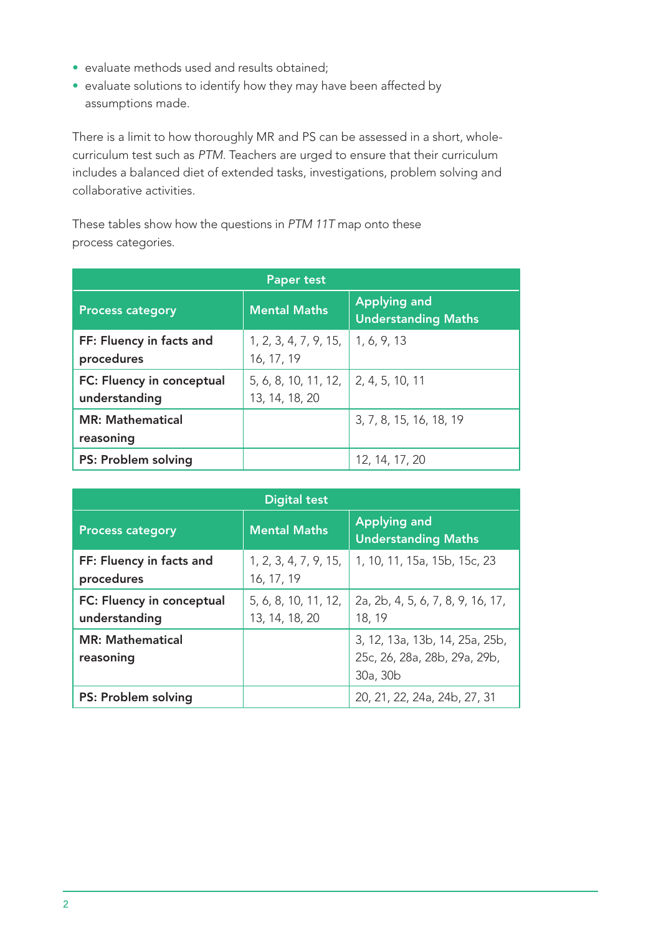- evaluate methods used and results obtained;
- evaluate solutions to identify how they may have been affected by assumptions made.

There is a limit to how thoroughly MR and PS can be assessed in a short, wholecurriculum test such as *PTM*. Teachers are urged to ensure that their curriculum includes a balanced diet of extended tasks, investigations, problem solving and collaborative activities.

These tables show how the questions in *PTM 11T* map onto these process categories.

| <b>Paper test</b>                          |                                        |                                                   |  |  |  |  |
|--------------------------------------------|----------------------------------------|---------------------------------------------------|--|--|--|--|
| <b>Process category</b>                    | <b>Mental Maths</b>                    | <b>Applying and</b><br><b>Understanding Maths</b> |  |  |  |  |
| FF: Fluency in facts and<br>procedures     | 1, 2, 3, 4, 7, 9, 15,<br>16, 17, 19    | 1, 6, 9, 13                                       |  |  |  |  |
| FC: Fluency in conceptual<br>understanding | 5, 6, 8, 10, 11, 12,<br>13, 14, 18, 20 | 2, 4, 5, 10, 11                                   |  |  |  |  |
| <b>MR: Mathematical</b><br>reasoning       |                                        | 3, 7, 8, 15, 16, 18, 19                           |  |  |  |  |
| PS: Problem solving                        |                                        | 12, 14, 17, 20                                    |  |  |  |  |

| <b>Digital test</b>                        |                                        |                                                                            |  |  |  |
|--------------------------------------------|----------------------------------------|----------------------------------------------------------------------------|--|--|--|
| <b>Process category</b>                    | <b>Mental Maths</b>                    | <b>Applying and</b><br><b>Understanding Maths</b>                          |  |  |  |
| FF: Fluency in facts and<br>procedures     | 1, 2, 3, 4, 7, 9, 15,<br>16, 17, 19    | 1, 10, 11, 15a, 15b, 15c, 23                                               |  |  |  |
| FC: Fluency in conceptual<br>understanding | 5, 6, 8, 10, 11, 12,<br>13, 14, 18, 20 | 2a, 2b, 4, 5, 6, 7, 8, 9, 16, 17,<br>18, 19                                |  |  |  |
| <b>MR: Mathematical</b><br>reasoning       |                                        | 3, 12, 13a, 13b, 14, 25a, 25b,<br>25c, 26, 28a, 28b, 29a, 29b,<br>30a, 30b |  |  |  |
| PS: Problem solving                        |                                        | 20, 21, 22, 24a, 24b, 27, 31                                               |  |  |  |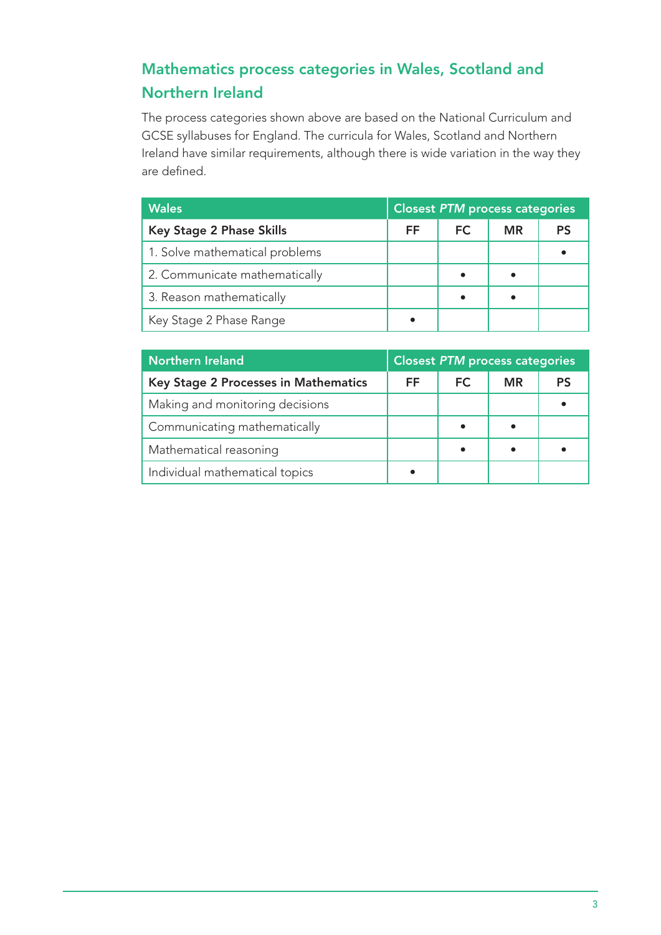# Mathematics process categories in Wales, Scotland and Northern Ireland

The process categories shown above are based on the National Curriculum and GCSE syllabuses for England. The curricula for Wales, Scotland and Northern Ireland have similar requirements, although there is wide variation in the way they are defined.

| <b>Wales</b>                    | <b>Closest PTM process categories</b> |     |           |    |
|---------------------------------|---------------------------------------|-----|-----------|----|
| <b>Key Stage 2 Phase Skills</b> | FF.                                   | FC. | <b>MR</b> | PS |
| 1. Solve mathematical problems  |                                       |     |           |    |
| 2. Communicate mathematically   |                                       |     |           |    |
| 3. Reason mathematically        |                                       |     |           |    |
| Key Stage 2 Phase Range         |                                       |     |           |    |

| <b>Northern Ireland</b>              | <b>Closest PTM process categories</b> |           |           |    |
|--------------------------------------|---------------------------------------|-----------|-----------|----|
| Key Stage 2 Processes in Mathematics | FF.                                   | <b>FC</b> | <b>MR</b> | PS |
| Making and monitoring decisions      |                                       |           |           |    |
| Communicating mathematically         |                                       |           |           |    |
| Mathematical reasoning               |                                       |           |           |    |
| Individual mathematical topics       |                                       |           |           |    |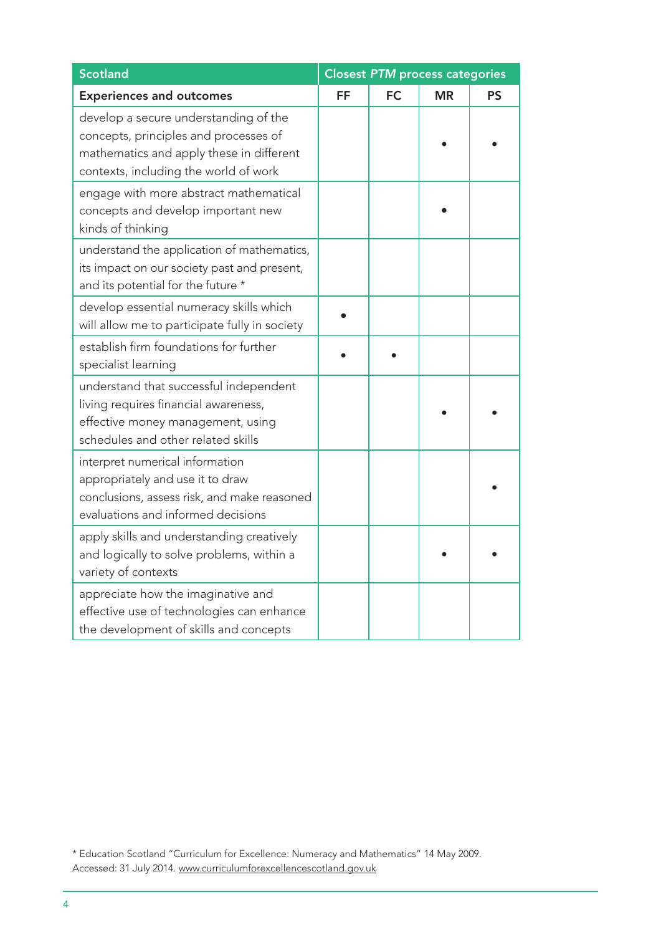| <b>Scotland</b>                                                                                                                                                     | <b>Closest PTM process categories</b> |           |           |           |
|---------------------------------------------------------------------------------------------------------------------------------------------------------------------|---------------------------------------|-----------|-----------|-----------|
| <b>Experiences and outcomes</b>                                                                                                                                     | FF                                    | <b>FC</b> | <b>MR</b> | <b>PS</b> |
| develop a secure understanding of the<br>concepts, principles and processes of<br>mathematics and apply these in different<br>contexts, including the world of work |                                       |           |           |           |
| engage with more abstract mathematical<br>concepts and develop important new<br>kinds of thinking                                                                   |                                       |           |           |           |
| understand the application of mathematics,<br>its impact on our society past and present,<br>and its potential for the future *                                     |                                       |           |           |           |
| develop essential numeracy skills which<br>will allow me to participate fully in society                                                                            |                                       |           |           |           |
| establish firm foundations for further<br>specialist learning                                                                                                       |                                       |           |           |           |
| understand that successful independent<br>living requires financial awareness,<br>effective money management, using<br>schedules and other related skills           |                                       |           |           |           |
| interpret numerical information<br>appropriately and use it to draw<br>conclusions, assess risk, and make reasoned<br>evaluations and informed decisions            |                                       |           |           |           |
| apply skills and understanding creatively<br>and logically to solve problems, within a<br>variety of contexts                                                       |                                       |           |           |           |
| appreciate how the imaginative and<br>effective use of technologies can enhance<br>the development of skills and concepts                                           |                                       |           |           |           |

<sup>\*</sup> Education Scotland "Curriculum for Excellence: Numeracy and Mathematics" 14 May 2009. Accessed: 31 July 2014. www.curriculumforexcellencescotland.gov.uk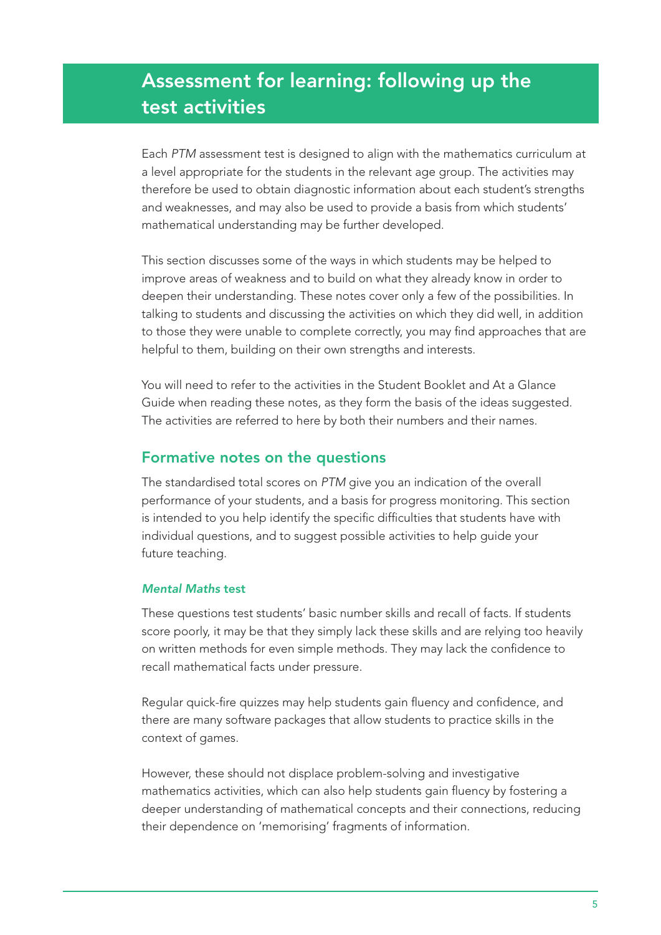# Assessment for learning: following up the test activities

Each *PTM* assessment test is designed to align with the mathematics curriculum at a level appropriate for the students in the relevant age group. The activities may therefore be used to obtain diagnostic information about each student's strengths and weaknesses, and may also be used to provide a basis from which students' mathematical understanding may be further developed.

This section discusses some of the ways in which students may be helped to improve areas of weakness and to build on what they already know in order to deepen their understanding. These notes cover only a few of the possibilities. In talking to students and discussing the activities on which they did well, in addition to those they were unable to complete correctly, you may find approaches that are helpful to them, building on their own strengths and interests.

You will need to refer to the activities in the Student Booklet and At a Glance Guide when reading these notes, as they form the basis of the ideas suggested. The activities are referred to here by both their numbers and their names.

## Formative notes on the questions

The standardised total scores on *PTM* give you an indication of the overall performance of your students, and a basis for progress monitoring. This section is intended to you help identify the specific difficulties that students have with individual questions, and to suggest possible activities to help guide your future teaching.

## *Mental Maths* test

These questions test students' basic number skills and recall of facts. If students score poorly, it may be that they simply lack these skills and are relying too heavily on written methods for even simple methods. They may lack the confidence to recall mathematical facts under pressure.

Regular quick-fire quizzes may help students gain fluency and confidence, and there are many software packages that allow students to practice skills in the context of games.

However, these should not displace problem-solving and investigative mathematics activities, which can also help students gain fluency by fostering a deeper understanding of mathematical concepts and their connections, reducing their dependence on 'memorising' fragments of information.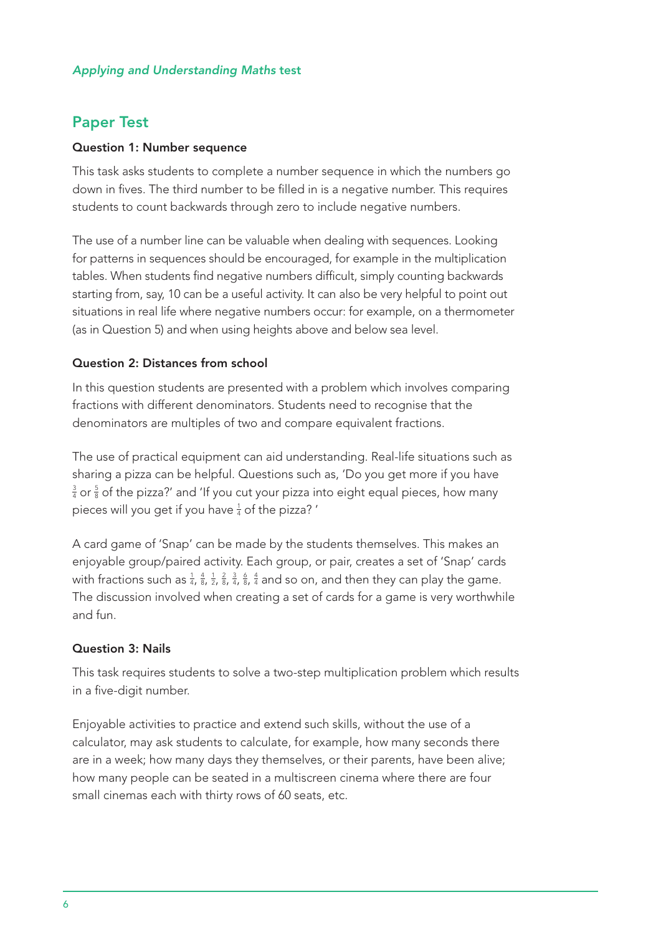## *Applying and Understanding Maths* test

## Paper Test

#### Question 1: Number sequence

This task asks students to complete a number sequence in which the numbers go down in fives. The third number to be filled in is a negative number. This requires students to count backwards through zero to include negative numbers.

The use of a number line can be valuable when dealing with sequences. Looking for patterns in sequences should be encouraged, for example in the multiplication tables. When students find negative numbers difficult, simply counting backwards starting from, say, 10 can be a useful activity. It can also be very helpful to point out situations in real life where negative numbers occur: for example, on a thermometer (as in Question 5) and when using heights above and below sea level.

#### Question 2: Distances from school

In this question students are presented with a problem which involves comparing fractions with different denominators. Students need to recognise that the denominators are multiples of two and compare equivalent fractions.

The use of practical equipment can aid understanding. Real-life situations such as sharing a pizza can be helpful. Questions such as, 'Do you get more if you have  $\frac{3}{4}$  or  $\frac{5}{8}$  of the pizza?' and 'If you cut your pizza into eight equal pieces, how many pieces will you get if you have  $\frac{1}{4}$  of the pizza? '

A card game of 'Snap' can be made by the students themselves. This makes an enjoyable group/paired activity. Each group, or pair, creates a set of 'Snap' cards with fractions such as  $\frac{1}{4}$ ,  $\frac{4}{8}$ ,  $\frac{1}{2}$ ,  $\frac{2}{8}$ ,  $\frac{3}{4}$ ,  $\frac{6}{8}$ ,  $\frac{4}{4}$  and so on, and then they can play the game. The discussion involved when creating a set of cards for a game is very worthwhile and fun.

#### Question 3: Nails

This task requires students to solve a two-step multiplication problem which results in a five-digit number.

Enjoyable activities to practice and extend such skills, without the use of a calculator, may ask students to calculate, for example, how many seconds there are in a week; how many days they themselves, or their parents, have been alive; how many people can be seated in a multiscreen cinema where there are four small cinemas each with thirty rows of 60 seats, etc.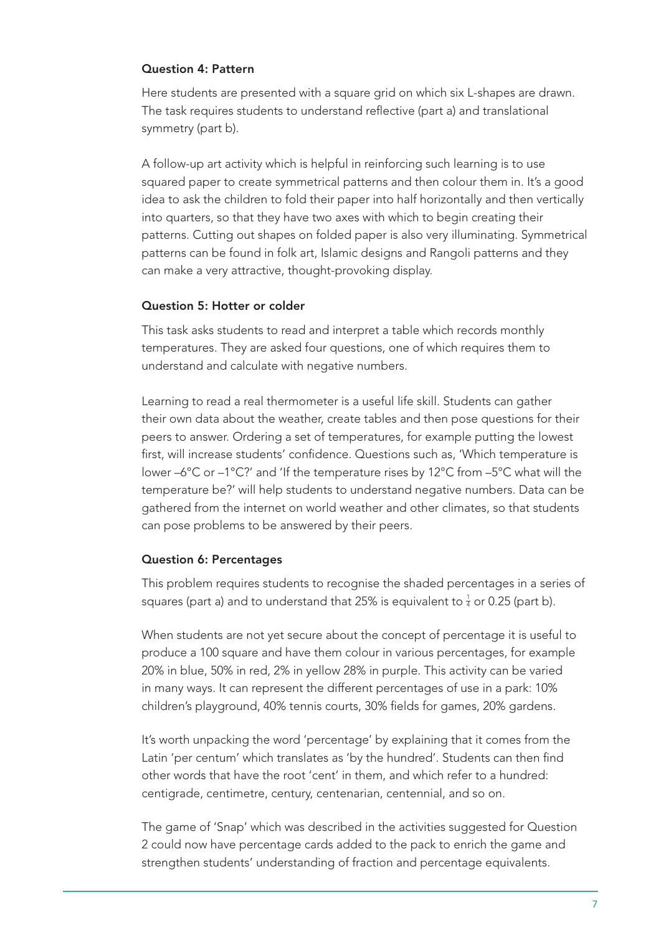#### Question 4: Pattern

Here students are presented with a square grid on which six L-shapes are drawn. The task requires students to understand reflective (part a) and translational symmetry (part b).

A follow-up art activity which is helpful in reinforcing such learning is to use squared paper to create symmetrical patterns and then colour them in. It's a good idea to ask the children to fold their paper into half horizontally and then vertically into quarters, so that they have two axes with which to begin creating their patterns. Cutting out shapes on folded paper is also very illuminating. Symmetrical patterns can be found in folk art, Islamic designs and Rangoli patterns and they can make a very attractive, thought-provoking display.

#### Question 5: Hotter or colder

This task asks students to read and interpret a table which records monthly temperatures. They are asked four questions, one of which requires them to understand and calculate with negative numbers.

Learning to read a real thermometer is a useful life skill. Students can gather their own data about the weather, create tables and then pose questions for their peers to answer. Ordering a set of temperatures, for example putting the lowest first, will increase students' confidence. Questions such as, 'Which temperature is lower –6°C or –1°C?' and 'If the temperature rises by 12°C from –5°C what will the temperature be?' will help students to understand negative numbers. Data can be gathered from the internet on world weather and other climates, so that students can pose problems to be answered by their peers.

## Question 6: Percentages

This problem requires students to recognise the shaded percentages in a series of squares (part a) and to understand that 25% is equivalent to  $\frac{1}{4}$  or 0.25 (part b).

When students are not yet secure about the concept of percentage it is useful to produce a 100 square and have them colour in various percentages, for example 20% in blue, 50% in red, 2% in yellow 28% in purple. This activity can be varied in many ways. It can represent the different percentages of use in a park: 10% children's playground, 40% tennis courts, 30% fields for games, 20% gardens.

It's worth unpacking the word 'percentage' by explaining that it comes from the Latin 'per centum' which translates as 'by the hundred'. Students can then find other words that have the root 'cent' in them, and which refer to a hundred: centigrade, centimetre, century, centenarian, centennial, and so on.

The game of 'Snap' which was described in the activities suggested for Question 2 could now have percentage cards added to the pack to enrich the game and strengthen students' understanding of fraction and percentage equivalents.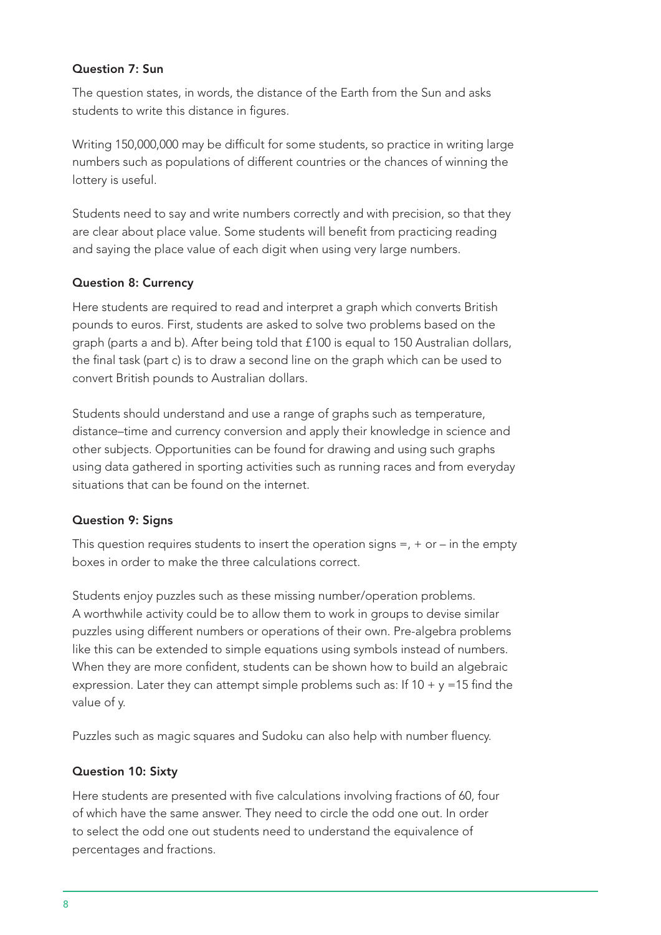## Question 7: Sun

The question states, in words, the distance of the Earth from the Sun and asks students to write this distance in figures.

Writing 150,000,000 may be difficult for some students, so practice in writing large numbers such as populations of different countries or the chances of winning the lottery is useful.

Students need to say and write numbers correctly and with precision, so that they are clear about place value. Some students will benefit from practicing reading and saying the place value of each digit when using very large numbers.

## Question 8: Currency

Here students are required to read and interpret a graph which converts British pounds to euros. First, students are asked to solve two problems based on the graph (parts a and b). After being told that £100 is equal to 150 Australian dollars, the final task (part c) is to draw a second line on the graph which can be used to convert British pounds to Australian dollars.

Students should understand and use a range of graphs such as temperature, distance–time and currency conversion and apply their knowledge in science and other subjects. Opportunities can be found for drawing and using such graphs using data gathered in sporting activities such as running races and from everyday situations that can be found on the internet.

## Question 9: Signs

This question requires students to insert the operation signs  $=$ ,  $+$  or  $-$  in the empty boxes in order to make the three calculations correct.

Students enjoy puzzles such as these missing number/operation problems. A worthwhile activity could be to allow them to work in groups to devise similar puzzles using different numbers or operations of their own. Pre-algebra problems like this can be extended to simple equations using symbols instead of numbers. When they are more confident, students can be shown how to build an algebraic expression. Later they can attempt simple problems such as: If  $10 + y = 15$  find the value of y.

Puzzles such as magic squares and Sudoku can also help with number fluency.

## Question 10: Sixty

Here students are presented with five calculations involving fractions of 60, four of which have the same answer. They need to circle the odd one out. In order to select the odd one out students need to understand the equivalence of percentages and fractions.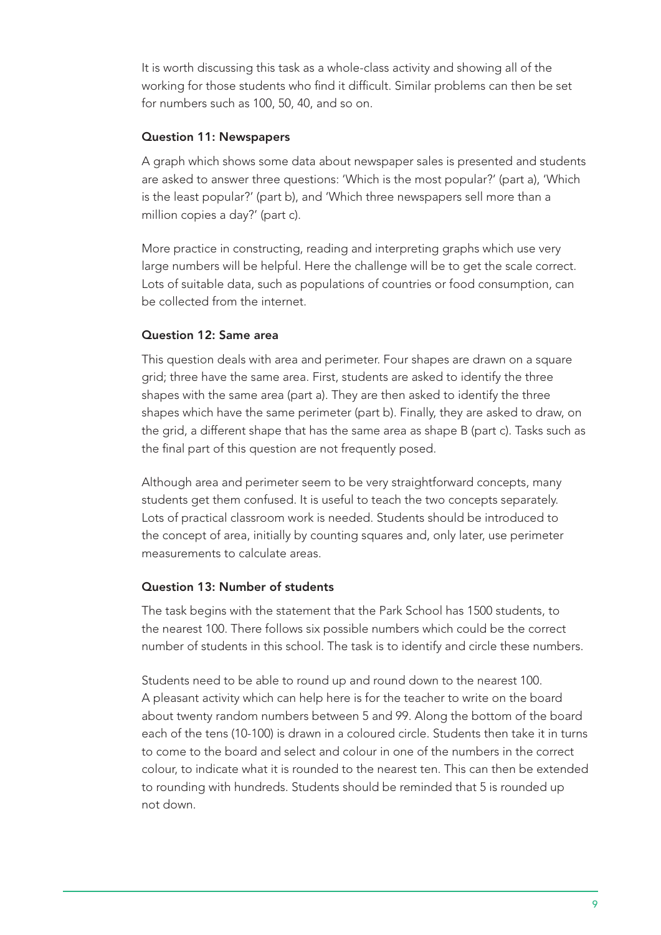It is worth discussing this task as a whole-class activity and showing all of the working for those students who find it difficult. Similar problems can then be set for numbers such as 100, 50, 40, and so on.

## Question 11: Newspapers

A graph which shows some data about newspaper sales is presented and students are asked to answer three questions: 'Which is the most popular?' (part a), 'Which is the least popular?' (part b), and 'Which three newspapers sell more than a million copies a day?' (part c).

More practice in constructing, reading and interpreting graphs which use very large numbers will be helpful. Here the challenge will be to get the scale correct. Lots of suitable data, such as populations of countries or food consumption, can be collected from the internet.

## Question 12: Same area

This question deals with area and perimeter. Four shapes are drawn on a square grid; three have the same area. First, students are asked to identify the three shapes with the same area (part a). They are then asked to identify the three shapes which have the same perimeter (part b). Finally, they are asked to draw, on the grid, a different shape that has the same area as shape B (part c). Tasks such as the final part of this question are not frequently posed.

Although area and perimeter seem to be very straightforward concepts, many students get them confused. It is useful to teach the two concepts separately. Lots of practical classroom work is needed. Students should be introduced to the concept of area, initially by counting squares and, only later, use perimeter measurements to calculate areas.

## Question 13: Number of students

The task begins with the statement that the Park School has 1500 students, to the nearest 100. There follows six possible numbers which could be the correct number of students in this school. The task is to identify and circle these numbers.

Students need to be able to round up and round down to the nearest 100. A pleasant activity which can help here is for the teacher to write on the board about twenty random numbers between 5 and 99. Along the bottom of the board each of the tens (10-100) is drawn in a coloured circle. Students then take it in turns to come to the board and select and colour in one of the numbers in the correct colour, to indicate what it is rounded to the nearest ten. This can then be extended to rounding with hundreds. Students should be reminded that 5 is rounded up not down.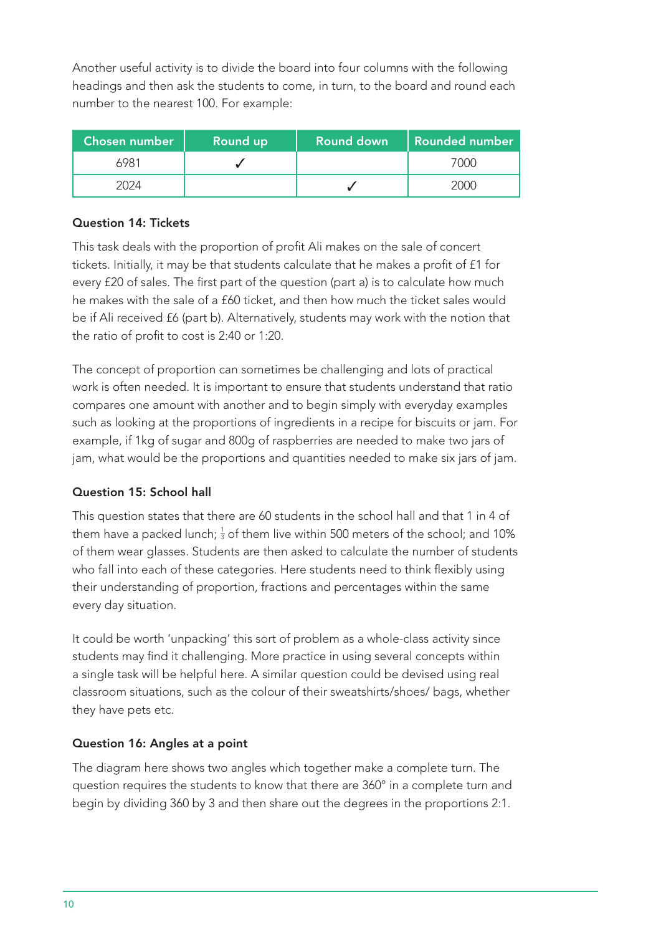Another useful activity is to divide the board into four columns with the following headings and then ask the students to come, in turn, to the board and round each number to the nearest 100. For example:

| <b>Chosen number</b> | Round up | <b>Round down</b> | Rounded number |
|----------------------|----------|-------------------|----------------|
| 6981                 |          |                   | $($ )( )( $)$  |
|                      |          |                   |                |

## Question 14: Tickets

This task deals with the proportion of profit Ali makes on the sale of concert tickets. Initially, it may be that students calculate that he makes a profit of £1 for every £20 of sales. The first part of the question (part a) is to calculate how much he makes with the sale of a £60 ticket, and then how much the ticket sales would be if Ali received £6 (part b). Alternatively, students may work with the notion that the ratio of profit to cost is 2:40 or 1:20.

The concept of proportion can sometimes be challenging and lots of practical work is often needed. It is important to ensure that students understand that ratio compares one amount with another and to begin simply with everyday examples such as looking at the proportions of ingredients in a recipe for biscuits or jam. For example, if 1kg of sugar and 800g of raspberries are needed to make two jars of jam, what would be the proportions and quantities needed to make six jars of jam.

## Question 15: School hall

This question states that there are 60 students in the school hall and that 1 in 4 of them have a packed lunch;  $\frac{1}{3}$  of them live within 500 meters of the school; and 10% of them wear glasses. Students are then asked to calculate the number of students who fall into each of these categories. Here students need to think flexibly using their understanding of proportion, fractions and percentages within the same every day situation.

It could be worth 'unpacking' this sort of problem as a whole-class activity since students may find it challenging. More practice in using several concepts within a single task will be helpful here. A similar question could be devised using real classroom situations, such as the colour of their sweatshirts/shoes/ bags, whether they have pets etc.

## Question 16: Angles at a point

The diagram here shows two angles which together make a complete turn. The question requires the students to know that there are 360° in a complete turn and begin by dividing 360 by 3 and then share out the degrees in the proportions 2:1.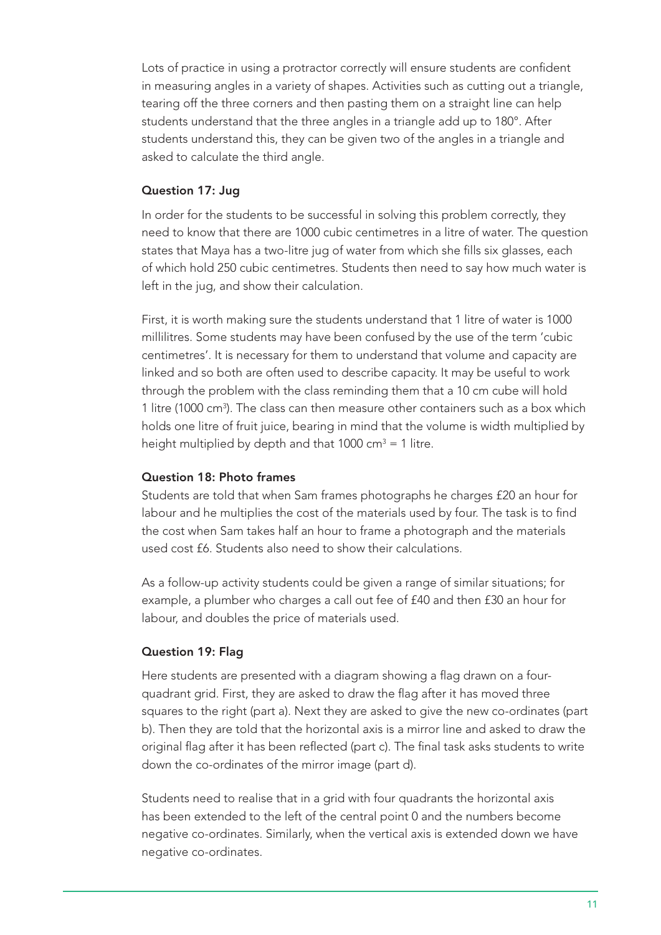Lots of practice in using a protractor correctly will ensure students are confident in measuring angles in a variety of shapes. Activities such as cutting out a triangle, tearing off the three corners and then pasting them on a straight line can help students understand that the three angles in a triangle add up to 180°. After students understand this, they can be given two of the angles in a triangle and asked to calculate the third angle.

#### Question 17: Jug

In order for the students to be successful in solving this problem correctly, they need to know that there are 1000 cubic centimetres in a litre of water. The question states that Maya has a two-litre jug of water from which she fills six glasses, each of which hold 250 cubic centimetres. Students then need to say how much water is left in the jug, and show their calculation.

First, it is worth making sure the students understand that 1 litre of water is 1000 millilitres. Some students may have been confused by the use of the term 'cubic centimetres'. It is necessary for them to understand that volume and capacity are linked and so both are often used to describe capacity. It may be useful to work through the problem with the class reminding them that a 10 cm cube will hold 1 litre (1000 cm<sup>3</sup>). The class can then measure other containers such as a box which holds one litre of fruit juice, bearing in mind that the volume is width multiplied by height multiplied by depth and that 1000 cm<sup>3</sup> = 1 litre.

#### Question 18: Photo frames

Students are told that when Sam frames photographs he charges £20 an hour for labour and he multiplies the cost of the materials used by four. The task is to find the cost when Sam takes half an hour to frame a photograph and the materials used cost £6. Students also need to show their calculations.

As a follow-up activity students could be given a range of similar situations; for example, a plumber who charges a call out fee of £40 and then £30 an hour for labour, and doubles the price of materials used.

#### Question 19: Flag

Here students are presented with a diagram showing a flag drawn on a fourquadrant grid. First, they are asked to draw the flag after it has moved three squares to the right (part a). Next they are asked to give the new co-ordinates (part b). Then they are told that the horizontal axis is a mirror line and asked to draw the original flag after it has been reflected (part c). The final task asks students to write down the co-ordinates of the mirror image (part d).

Students need to realise that in a grid with four quadrants the horizontal axis has been extended to the left of the central point 0 and the numbers become negative co-ordinates. Similarly, when the vertical axis is extended down we have negative co-ordinates.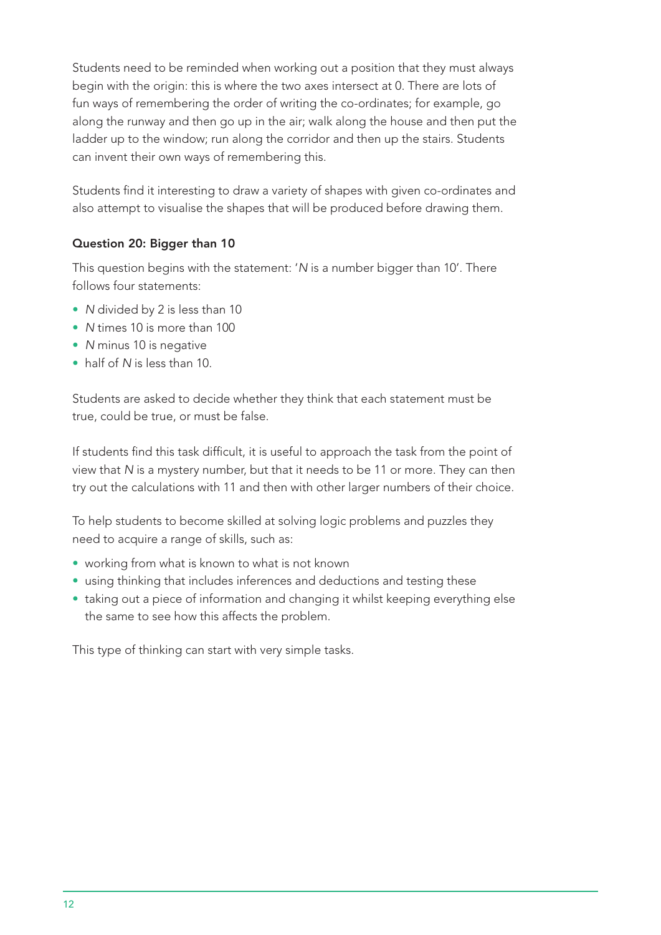Students need to be reminded when working out a position that they must always begin with the origin: this is where the two axes intersect at 0. There are lots of fun ways of remembering the order of writing the co-ordinates; for example, go along the runway and then go up in the air; walk along the house and then put the ladder up to the window; run along the corridor and then up the stairs. Students can invent their own ways of remembering this.

Students find it interesting to draw a variety of shapes with given co-ordinates and also attempt to visualise the shapes that will be produced before drawing them.

## Question 20: Bigger than 10

This question begins with the statement: '*N* is a number bigger than 10'. There follows four statements:

- *N* divided by 2 is less than 10
- *N* times 10 is more than 100
- *N* minus 10 is negative
- half of *N* is less than 10.

Students are asked to decide whether they think that each statement must be true, could be true, or must be false.

If students find this task difficult, it is useful to approach the task from the point of view that *N* is a mystery number, but that it needs to be 11 or more. They can then try out the calculations with 11 and then with other larger numbers of their choice.

To help students to become skilled at solving logic problems and puzzles they need to acquire a range of skills, such as:

- working from what is known to what is not known
- using thinking that includes inferences and deductions and testing these
- taking out a piece of information and changing it whilst keeping everything else the same to see how this affects the problem.

This type of thinking can start with very simple tasks.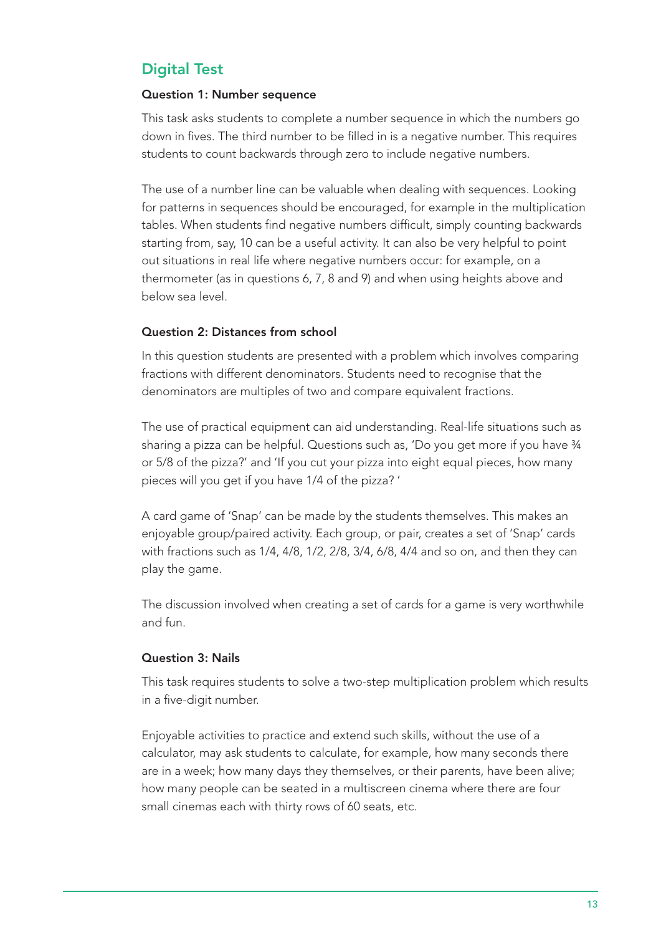## Digital Test

## Question 1: Number sequence

This task asks students to complete a number sequence in which the numbers go down in fives. The third number to be filled in is a negative number. This requires students to count backwards through zero to include negative numbers.

The use of a number line can be valuable when dealing with sequences. Looking for patterns in sequences should be encouraged, for example in the multiplication tables. When students find negative numbers difficult, simply counting backwards starting from, say, 10 can be a useful activity. It can also be very helpful to point out situations in real life where negative numbers occur: for example, on a thermometer (as in questions 6, 7, 8 and 9) and when using heights above and below sea level.

## Question 2: Distances from school

In this question students are presented with a problem which involves comparing fractions with different denominators. Students need to recognise that the denominators are multiples of two and compare equivalent fractions.

The use of practical equipment can aid understanding. Real-life situations such as sharing a pizza can be helpful. Questions such as, 'Do you get more if you have 3/4 or 5/8 of the pizza?' and 'If you cut your pizza into eight equal pieces, how many pieces will you get if you have 1/4 of the pizza? '

A card game of 'Snap' can be made by the students themselves. This makes an enjoyable group/paired activity. Each group, or pair, creates a set of 'Snap' cards with fractions such as 1/4, 4/8, 1/2, 2/8, 3/4, 6/8, 4/4 and so on, and then they can play the game.

The discussion involved when creating a set of cards for a game is very worthwhile and fun.

## Question 3: Nails

This task requires students to solve a two-step multiplication problem which results in a five-digit number.

Enjoyable activities to practice and extend such skills, without the use of a calculator, may ask students to calculate, for example, how many seconds there are in a week; how many days they themselves, or their parents, have been alive; how many people can be seated in a multiscreen cinema where there are four small cinemas each with thirty rows of 60 seats, etc.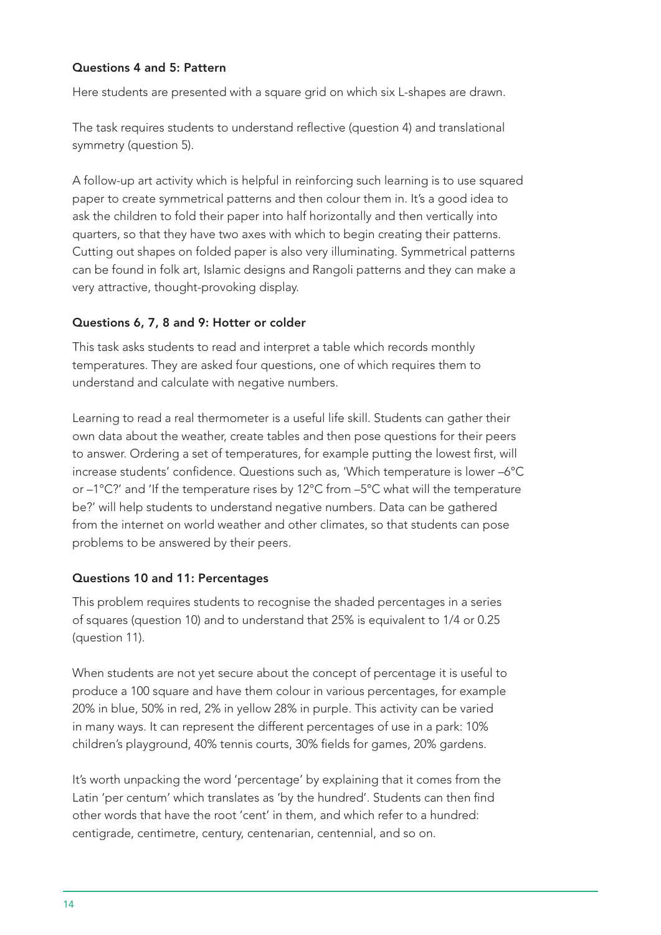## Questions 4 and 5: Pattern

Here students are presented with a square grid on which six L-shapes are drawn.

The task requires students to understand reflective (question 4) and translational symmetry (question 5).

A follow-up art activity which is helpful in reinforcing such learning is to use squared paper to create symmetrical patterns and then colour them in. It's a good idea to ask the children to fold their paper into half horizontally and then vertically into quarters, so that they have two axes with which to begin creating their patterns. Cutting out shapes on folded paper is also very illuminating. Symmetrical patterns can be found in folk art, Islamic designs and Rangoli patterns and they can make a very attractive, thought-provoking display.

#### Questions 6, 7, 8 and 9: Hotter or colder

This task asks students to read and interpret a table which records monthly temperatures. They are asked four questions, one of which requires them to understand and calculate with negative numbers.

Learning to read a real thermometer is a useful life skill. Students can gather their own data about the weather, create tables and then pose questions for their peers to answer. Ordering a set of temperatures, for example putting the lowest first, will increase students' confidence. Questions such as, 'Which temperature is lower –6°C or –1°C?' and 'If the temperature rises by 12°C from –5°C what will the temperature be?' will help students to understand negative numbers. Data can be gathered from the internet on world weather and other climates, so that students can pose problems to be answered by their peers.

## Questions 10 and 11: Percentages

This problem requires students to recognise the shaded percentages in a series of squares (question 10) and to understand that 25% is equivalent to 1/4 or 0.25 (question 11).

When students are not yet secure about the concept of percentage it is useful to produce a 100 square and have them colour in various percentages, for example 20% in blue, 50% in red, 2% in yellow 28% in purple. This activity can be varied in many ways. It can represent the different percentages of use in a park: 10% children's playground, 40% tennis courts, 30% fields for games, 20% gardens.

It's worth unpacking the word 'percentage' by explaining that it comes from the Latin 'per centum' which translates as 'by the hundred'. Students can then find other words that have the root 'cent' in them, and which refer to a hundred: centigrade, centimetre, century, centenarian, centennial, and so on.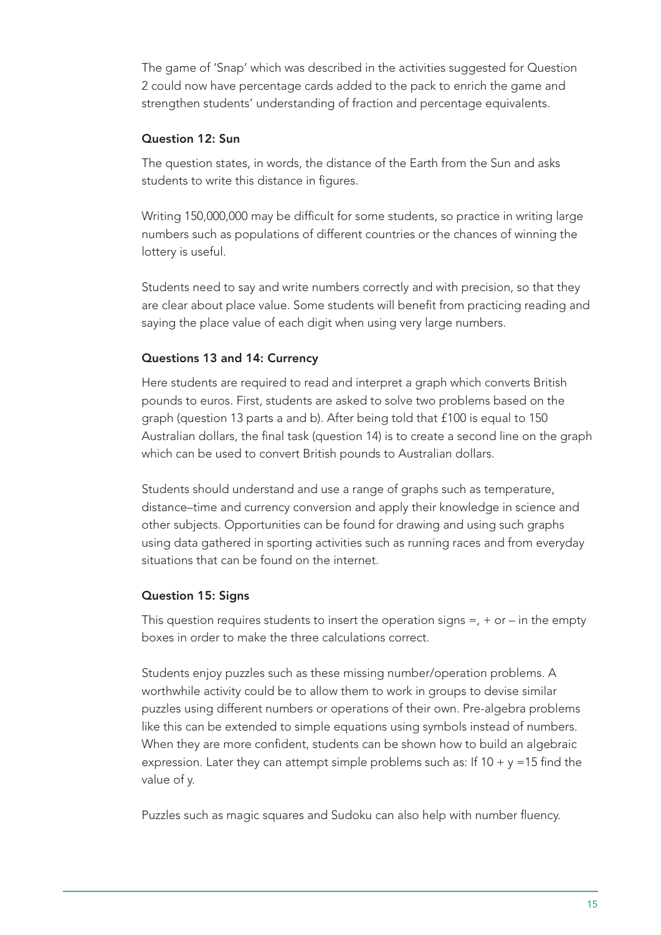The game of 'Snap' which was described in the activities suggested for Question 2 could now have percentage cards added to the pack to enrich the game and strengthen students' understanding of fraction and percentage equivalents.

## Question 12: Sun

The question states, in words, the distance of the Earth from the Sun and asks students to write this distance in figures.

Writing 150,000,000 may be difficult for some students, so practice in writing large numbers such as populations of different countries or the chances of winning the lottery is useful.

Students need to say and write numbers correctly and with precision, so that they are clear about place value. Some students will benefit from practicing reading and saying the place value of each digit when using very large numbers.

## Questions 13 and 14: Currency

Here students are required to read and interpret a graph which converts British pounds to euros. First, students are asked to solve two problems based on the graph (question 13 parts a and b). After being told that £100 is equal to 150 Australian dollars, the final task (question 14) is to create a second line on the graph which can be used to convert British pounds to Australian dollars.

Students should understand and use a range of graphs such as temperature, distance–time and currency conversion and apply their knowledge in science and other subjects. Opportunities can be found for drawing and using such graphs using data gathered in sporting activities such as running races and from everyday situations that can be found on the internet.

## Question 15: Signs

This question requires students to insert the operation signs  $=$ ,  $+$  or  $-$  in the empty boxes in order to make the three calculations correct.

Students enjoy puzzles such as these missing number/operation problems. A worthwhile activity could be to allow them to work in groups to devise similar puzzles using different numbers or operations of their own. Pre-algebra problems like this can be extended to simple equations using symbols instead of numbers. When they are more confident, students can be shown how to build an algebraic expression. Later they can attempt simple problems such as: If  $10 + y = 15$  find the value of y.

Puzzles such as magic squares and Sudoku can also help with number fluency.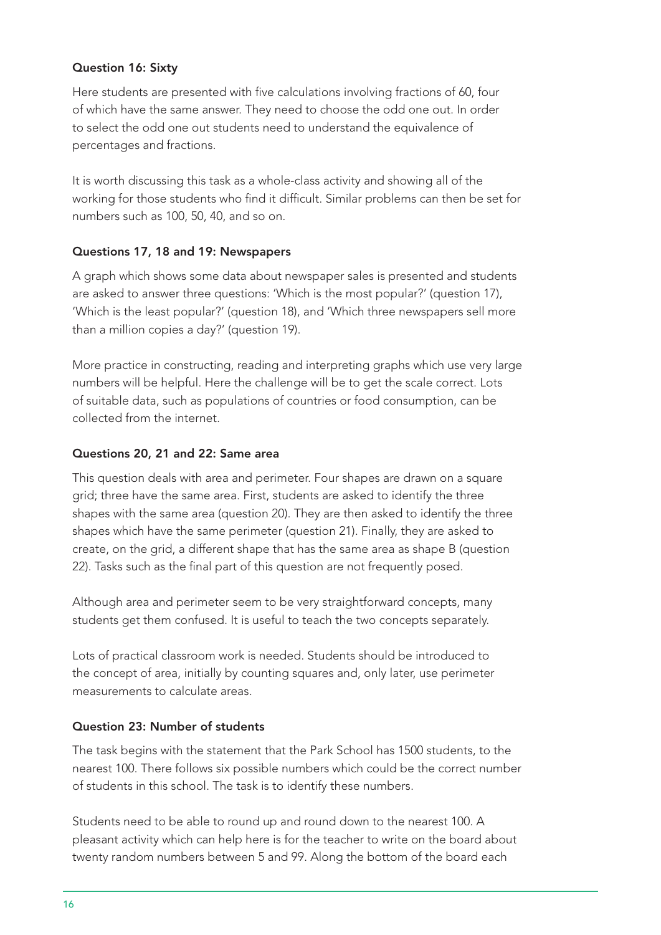## Question 16: Sixty

Here students are presented with five calculations involving fractions of 60, four of which have the same answer. They need to choose the odd one out. In order to select the odd one out students need to understand the equivalence of percentages and fractions.

It is worth discussing this task as a whole-class activity and showing all of the working for those students who find it difficult. Similar problems can then be set for numbers such as 100, 50, 40, and so on.

## Questions 17, 18 and 19: Newspapers

A graph which shows some data about newspaper sales is presented and students are asked to answer three questions: 'Which is the most popular?' (question 17), 'Which is the least popular?' (question 18), and 'Which three newspapers sell more than a million copies a day?' (question 19).

More practice in constructing, reading and interpreting graphs which use very large numbers will be helpful. Here the challenge will be to get the scale correct. Lots of suitable data, such as populations of countries or food consumption, can be collected from the internet.

## Questions 20, 21 and 22: Same area

This question deals with area and perimeter. Four shapes are drawn on a square grid; three have the same area. First, students are asked to identify the three shapes with the same area (question 20). They are then asked to identify the three shapes which have the same perimeter (question 21). Finally, they are asked to create, on the grid, a different shape that has the same area as shape B (question 22). Tasks such as the final part of this question are not frequently posed.

Although area and perimeter seem to be very straightforward concepts, many students get them confused. It is useful to teach the two concepts separately.

Lots of practical classroom work is needed. Students should be introduced to the concept of area, initially by counting squares and, only later, use perimeter measurements to calculate areas.

## Question 23: Number of students

The task begins with the statement that the Park School has 1500 students, to the nearest 100. There follows six possible numbers which could be the correct number of students in this school. The task is to identify these numbers.

Students need to be able to round up and round down to the nearest 100. A pleasant activity which can help here is for the teacher to write on the board about twenty random numbers between 5 and 99. Along the bottom of the board each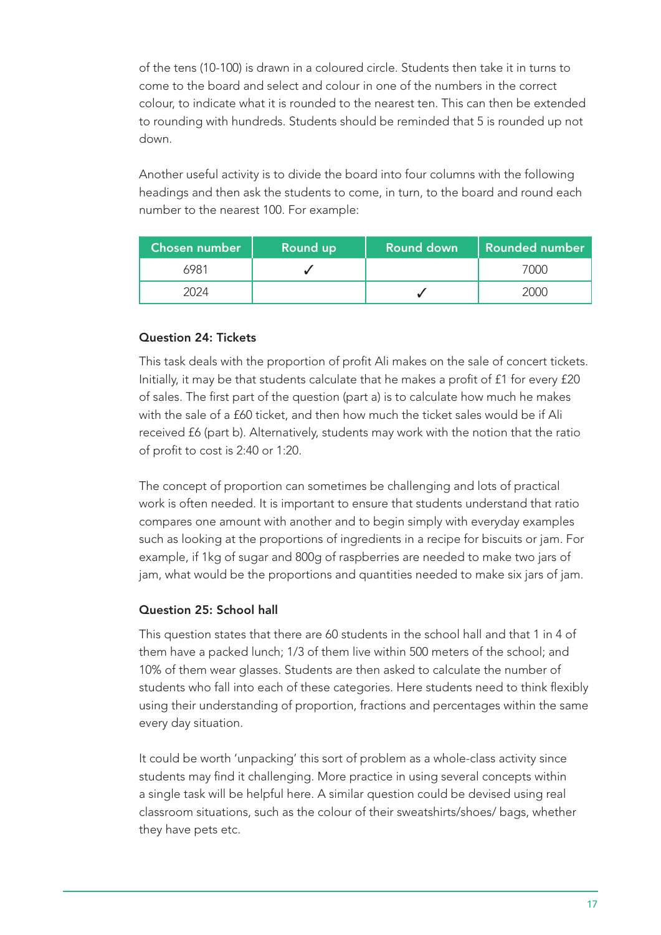of the tens (10-100) is drawn in a coloured circle. Students then take it in turns to come to the board and select and colour in one of the numbers in the correct colour, to indicate what it is rounded to the nearest ten. This can then be extended to rounding with hundreds. Students should be reminded that 5 is rounded up not down.

Another useful activity is to divide the board into four columns with the following headings and then ask the students to come, in turn, to the board and round each number to the nearest 100. For example:

| 'Chosen number , | Round up | <b>Round down</b> | <b>Rounded number</b> |
|------------------|----------|-------------------|-----------------------|
| 6981             |          |                   | 7000                  |
|                  |          |                   |                       |

## Question 24: Tickets

This task deals with the proportion of profit Ali makes on the sale of concert tickets. Initially, it may be that students calculate that he makes a profit of £1 for every £20 of sales. The first part of the question (part a) is to calculate how much he makes with the sale of a £60 ticket, and then how much the ticket sales would be if Ali received £6 (part b). Alternatively, students may work with the notion that the ratio of profit to cost is 2:40 or 1:20.

The concept of proportion can sometimes be challenging and lots of practical work is often needed. It is important to ensure that students understand that ratio compares one amount with another and to begin simply with everyday examples such as looking at the proportions of ingredients in a recipe for biscuits or jam. For example, if 1kg of sugar and 800g of raspberries are needed to make two jars of jam, what would be the proportions and quantities needed to make six jars of jam.

## Question 25: School hall

This question states that there are 60 students in the school hall and that 1 in 4 of them have a packed lunch; 1/3 of them live within 500 meters of the school; and 10% of them wear glasses. Students are then asked to calculate the number of students who fall into each of these categories. Here students need to think flexibly using their understanding of proportion, fractions and percentages within the same every day situation.

It could be worth 'unpacking' this sort of problem as a whole-class activity since students may find it challenging. More practice in using several concepts within a single task will be helpful here. A similar question could be devised using real classroom situations, such as the colour of their sweatshirts/shoes/ bags, whether they have pets etc.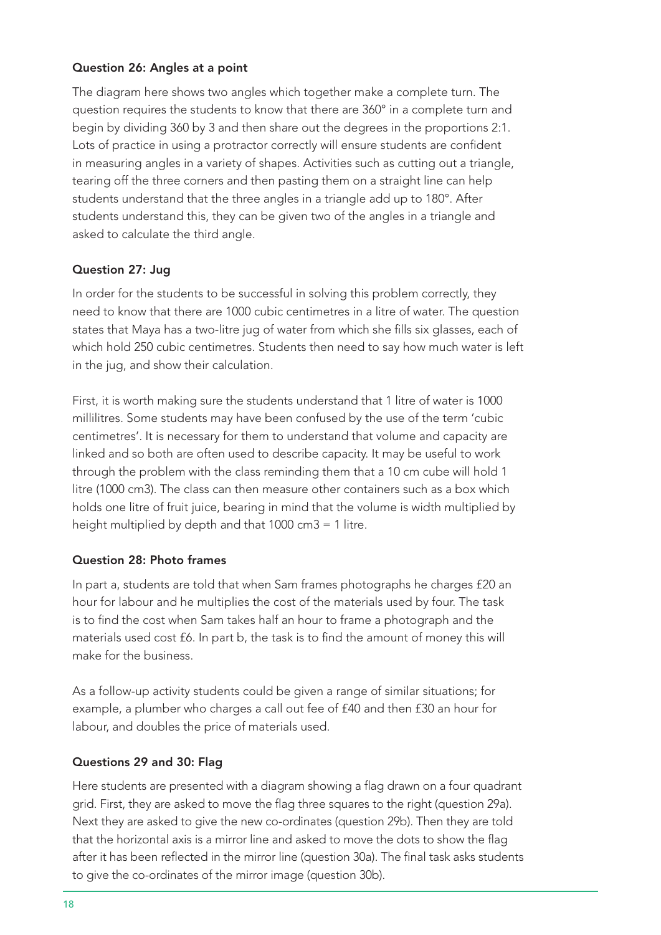## Question 26: Angles at a point

The diagram here shows two angles which together make a complete turn. The question requires the students to know that there are 360° in a complete turn and begin by dividing 360 by 3 and then share out the degrees in the proportions 2:1. Lots of practice in using a protractor correctly will ensure students are confident in measuring angles in a variety of shapes. Activities such as cutting out a triangle, tearing off the three corners and then pasting them on a straight line can help students understand that the three angles in a triangle add up to 180°. After students understand this, they can be given two of the angles in a triangle and asked to calculate the third angle.

#### Question 27: Jug

In order for the students to be successful in solving this problem correctly, they need to know that there are 1000 cubic centimetres in a litre of water. The question states that Maya has a two-litre jug of water from which she fills six glasses, each of which hold 250 cubic centimetres. Students then need to say how much water is left in the jug, and show their calculation.

First, it is worth making sure the students understand that 1 litre of water is 1000 millilitres. Some students may have been confused by the use of the term 'cubic centimetres'. It is necessary for them to understand that volume and capacity are linked and so both are often used to describe capacity. It may be useful to work through the problem with the class reminding them that a 10 cm cube will hold 1 litre (1000 cm3). The class can then measure other containers such as a box which holds one litre of fruit juice, bearing in mind that the volume is width multiplied by height multiplied by depth and that 1000 cm3 = 1 litre.

#### Question 28: Photo frames

In part a, students are told that when Sam frames photographs he charges £20 an hour for labour and he multiplies the cost of the materials used by four. The task is to find the cost when Sam takes half an hour to frame a photograph and the materials used cost £6. In part b, the task is to find the amount of money this will make for the business.

As a follow-up activity students could be given a range of similar situations; for example, a plumber who charges a call out fee of £40 and then £30 an hour for labour, and doubles the price of materials used.

## Questions 29 and 30: Flag

Here students are presented with a diagram showing a flag drawn on a four quadrant grid. First, they are asked to move the flag three squares to the right (question 29a). Next they are asked to give the new co-ordinates (question 29b). Then they are told that the horizontal axis is a mirror line and asked to move the dots to show the flag after it has been reflected in the mirror line (question 30a). The final task asks students to give the co-ordinates of the mirror image (question 30b).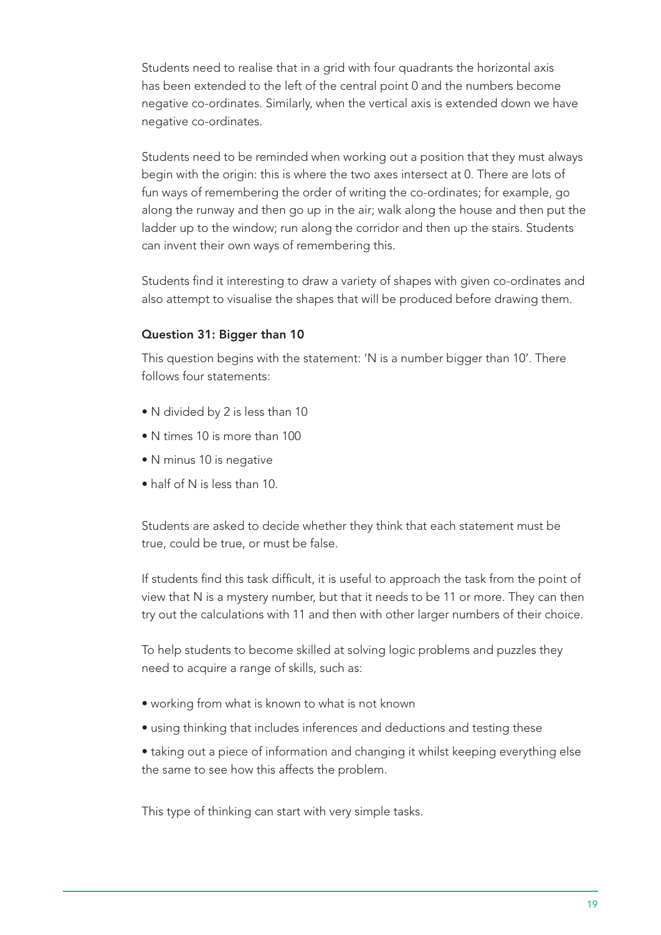Students need to realise that in a grid with four quadrants the horizontal axis has been extended to the left of the central point 0 and the numbers become negative co-ordinates. Similarly, when the vertical axis is extended down we have negative co-ordinates.

Students need to be reminded when working out a position that they must always begin with the origin: this is where the two axes intersect at 0. There are lots of fun ways of remembering the order of writing the co-ordinates; for example, go along the runway and then go up in the air; walk along the house and then put the ladder up to the window; run along the corridor and then up the stairs. Students can invent their own ways of remembering this.

Students find it interesting to draw a variety of shapes with given co-ordinates and also attempt to visualise the shapes that will be produced before drawing them.

## Question 31: Bigger than 10

This question begins with the statement: 'N is a number bigger than 10'. There follows four statements:

- N divided by 2 is less than 10
- N times 10 is more than 100
- N minus 10 is negative
- half of N is less than 10.

Students are asked to decide whether they think that each statement must be true, could be true, or must be false.

If students find this task difficult, it is useful to approach the task from the point of view that N is a mystery number, but that it needs to be 11 or more. They can then try out the calculations with 11 and then with other larger numbers of their choice.

To help students to become skilled at solving logic problems and puzzles they need to acquire a range of skills, such as:

- working from what is known to what is not known
- using thinking that includes inferences and deductions and testing these

• taking out a piece of information and changing it whilst keeping everything else the same to see how this affects the problem.

This type of thinking can start with very simple tasks.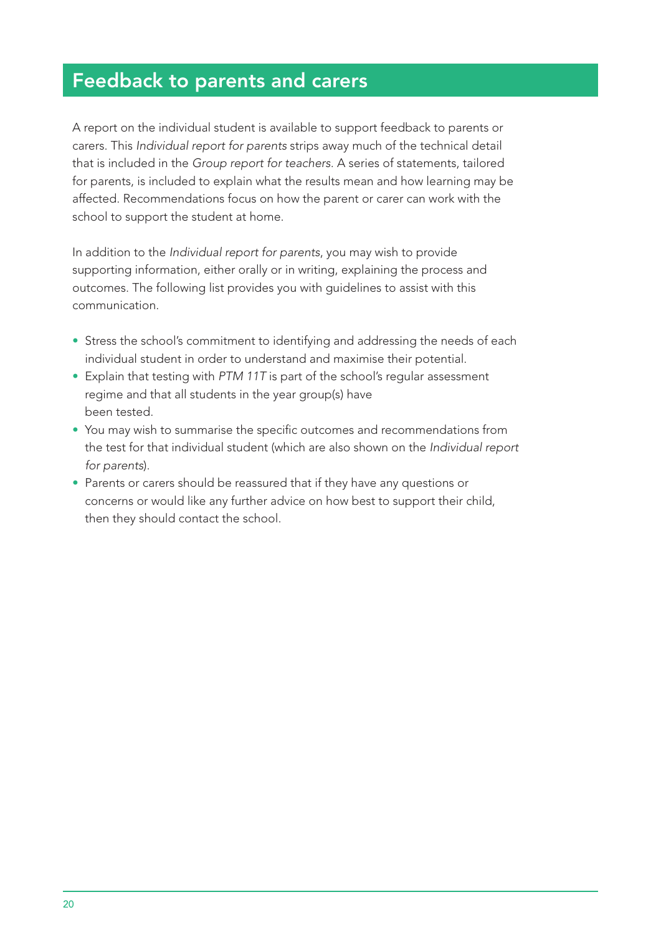# Feedback to parents and carers

A report on the individual student is available to support feedback to parents or carers. This *Individual report for parents* strips away much of the technical detail that is included in the *Group report for teachers*. A series of statements, tailored for parents, is included to explain what the results mean and how learning may be affected. Recommendations focus on how the parent or carer can work with the school to support the student at home.

In addition to the *Individual report for parents*, you may wish to provide supporting information, either orally or in writing, explaining the process and outcomes. The following list provides you with guidelines to assist with this communication.

- Stress the school's commitment to identifying and addressing the needs of each individual student in order to understand and maximise their potential.
- Explain that testing with *PTM 11T* is part of the school's regular assessment regime and that all students in the year group(s) have been tested.
- You may wish to summarise the specific outcomes and recommendations from the test for that individual student (which are also shown on the *Individual report for parents*).
- Parents or carers should be reassured that if they have any questions or concerns or would like any further advice on how best to support their child, then they should contact the school.